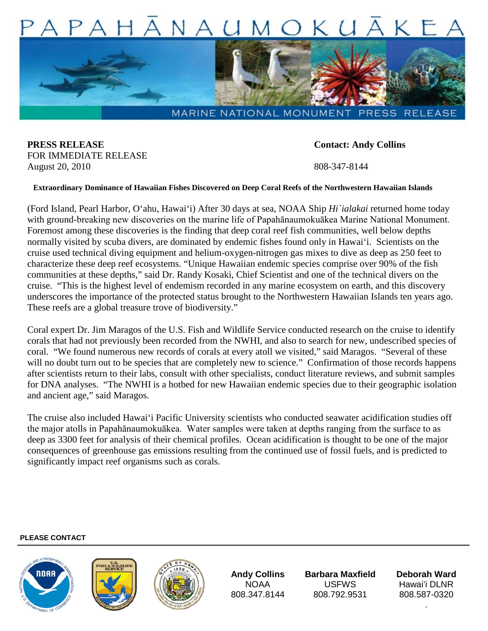

MARINE NATIONAL MONUMENT PRESS RELEASE

**PRESS RELEASE Contact: Andy Collins** FOR IMMEDIATE RELEASE August 20, 2010 808-347-8144

## **Extraordinary Dominance of Hawaiian Fishes Discovered on Deep Coral Reefs of the Northwestern Hawaiian Islands**

(Ford Island, Pearl Harbor, O'ahu, Hawai'i) After 30 days at sea, NOAA Ship *Hi`ialakai* returned home today with ground-breaking new discoveries on the marine life of Papahānaumokuākea Marine National Monument. Foremost among these discoveries is the finding that deep coral reef fish communities, well below depths normally visited by scuba divers, are dominated by endemic fishes found only in Hawai'i. Scientists on the cruise used technical diving equipment and helium-oxygen-nitrogen gas mixes to dive as deep as 250 feet to characterize these deep reef ecosystems. "Unique Hawaiian endemic species comprise over 90% of the fish communities at these depths," said Dr. Randy Kosaki, Chief Scientist and one of the technical divers on the cruise. "This is the highest level of endemism recorded in any marine ecosystem on earth, and this discovery underscores the importance of the protected status brought to the Northwestern Hawaiian Islands ten years ago. These reefs are a global treasure trove of biodiversity."

Coral expert Dr. Jim Maragos of the U.S. Fish and Wildlife Service conducted research on the cruise to identify corals that had not previously been recorded from the NWHI, and also to search for new, undescribed species of coral. "We found numerous new records of corals at every atoll we visited," said Maragos. "Several of these will no doubt turn out to be species that are completely new to science." Confirmation of those records happens after scientists return to their labs, consult with other specialists, conduct literature reviews, and submit samples for DNA analyses. "The NWHI is a hotbed for new Hawaiian endemic species due to their geographic isolation and ancient age," said Maragos.

The cruise also included Hawai'i Pacific University scientists who conducted seawater acidification studies off the major atolls in Papahānaumokuākea. Water samples were taken at depths ranging from the surface to as deep as 3300 feet for analysis of their chemical profiles. Ocean acidification is thought to be one of the major consequences of greenhouse gas emissions resulting from the continued use of fossil fuels, and is predicted to significantly impact reef organisms such as corals.

## **PLEASE CONTACT**







**Andy Collins** NOAA 808.347.8144

**Barbara Maxfield**  USFWS 808.792.9531

**Deborah Ward** Hawai'i DLNR 808.587-0320

.